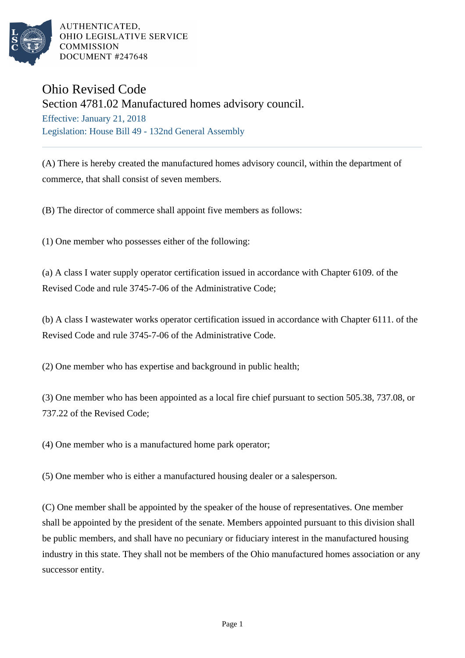

AUTHENTICATED. OHIO LEGISLATIVE SERVICE **COMMISSION** DOCUMENT #247648

## Ohio Revised Code

Section 4781.02 Manufactured homes advisory council.

Effective: January 21, 2018 Legislation: House Bill 49 - 132nd General Assembly

(A) There is hereby created the manufactured homes advisory council, within the department of commerce, that shall consist of seven members.

(B) The director of commerce shall appoint five members as follows:

(1) One member who possesses either of the following:

(a) A class I water supply operator certification issued in accordance with Chapter 6109. of the Revised Code and rule 3745-7-06 of the Administrative Code;

(b) A class I wastewater works operator certification issued in accordance with Chapter 6111. of the Revised Code and rule 3745-7-06 of the Administrative Code.

(2) One member who has expertise and background in public health;

(3) One member who has been appointed as a local fire chief pursuant to section 505.38, 737.08, or 737.22 of the Revised Code;

(4) One member who is a manufactured home park operator;

(5) One member who is either a manufactured housing dealer or a salesperson.

(C) One member shall be appointed by the speaker of the house of representatives. One member shall be appointed by the president of the senate. Members appointed pursuant to this division shall be public members, and shall have no pecuniary or fiduciary interest in the manufactured housing industry in this state. They shall not be members of the Ohio manufactured homes association or any successor entity.